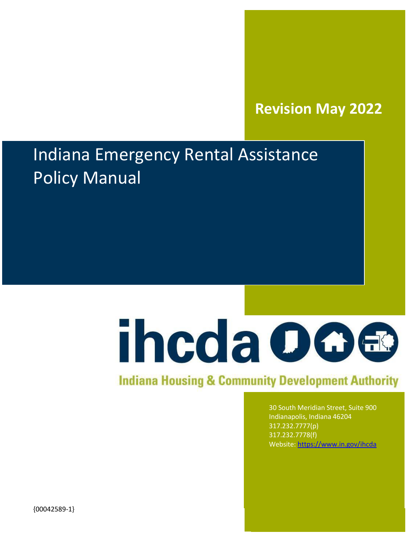# **Revision May 2022**

# Indiana Emergency Rental Assistance Policy Manual



# **Indiana Housing & Community Development Authority**

30 South Meridian Street, Suite 900 Indianapolis, Indiana 46204 317.232.7777(p) 317.232.7778(f) Website: <https://www.in.gov/ihcda>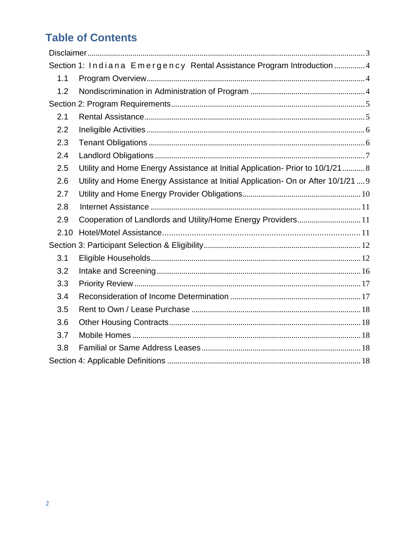# **Table of Contents**

|      | Section 1: Indiana Emergency Rental Assistance Program Introduction 4             |  |
|------|-----------------------------------------------------------------------------------|--|
| 1.1  |                                                                                   |  |
| 1.2  |                                                                                   |  |
|      |                                                                                   |  |
| 2.1  |                                                                                   |  |
| 2.2  |                                                                                   |  |
| 2.3  |                                                                                   |  |
| 2.4  |                                                                                   |  |
| 2.5  | Utility and Home Energy Assistance at Initial Application- Prior to 10/1/21 8     |  |
| 2.6  | Utility and Home Energy Assistance at Initial Application- On or After 10/1/21  9 |  |
| 2.7  |                                                                                   |  |
| 2.8  |                                                                                   |  |
| 2.9  | Cooperation of Landlords and Utility/Home Energy Providers 11                     |  |
| 2.10 |                                                                                   |  |
|      |                                                                                   |  |
| 3.1  |                                                                                   |  |
| 3.2  |                                                                                   |  |
| 3.3  |                                                                                   |  |
| 3.4  |                                                                                   |  |
| 3.5  |                                                                                   |  |
| 3.6  |                                                                                   |  |
| 3.7  |                                                                                   |  |
| 3.8  |                                                                                   |  |
|      |                                                                                   |  |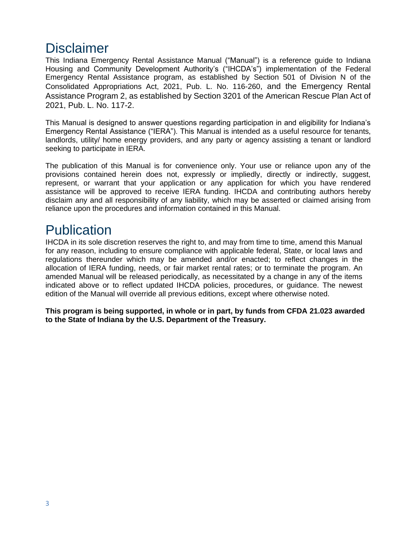# <span id="page-2-0"></span>**Disclaimer**

This Indiana Emergency Rental Assistance Manual ("Manual") is a reference guide to Indiana Housing and Community Development Authority's ("IHCDA's") implementation of the Federal Emergency Rental Assistance program, as established by Section 501 of Division N of the Consolidated Appropriations Act, 2021, Pub. L. No. 116-260, and the Emergency Rental Assistance Program 2, as established by Section 3201 of the American Rescue Plan Act of 2021, Pub. L. No. 117-2.

This Manual is designed to answer questions regarding participation in and eligibility for Indiana's Emergency Rental Assistance ("IERA"). This Manual is intended as a useful resource for tenants, landlords, utility/ home energy providers, and any party or agency assisting a tenant or landlord seeking to participate in IERA.

The publication of this Manual is for convenience only. Your use or reliance upon any of the provisions contained herein does not, expressly or impliedly, directly or indirectly, suggest, represent, or warrant that your application or any application for which you have rendered assistance will be approved to receive IERA funding. IHCDA and contributing authors hereby disclaim any and all responsibility of any liability, which may be asserted or claimed arising from reliance upon the procedures and information contained in this Manual.

# **Publication**

IHCDA in its sole discretion reserves the right to, and may from time to time, amend this Manual for any reason, including to ensure compliance with applicable federal, State, or local laws and regulations thereunder which may be amended and/or enacted; to reflect changes in the allocation of IERA funding, needs, or fair market rental rates; or to terminate the program. An amended Manual will be released periodically, as necessitated by a change in any of the items indicated above or to reflect updated IHCDA policies, procedures, or guidance. The newest edition of the Manual will override all previous editions, except where otherwise noted.

**This program is being supported, in whole or in part, by funds from CFDA 21.023 awarded to the State of Indiana by the U.S. Department of the Treasury.**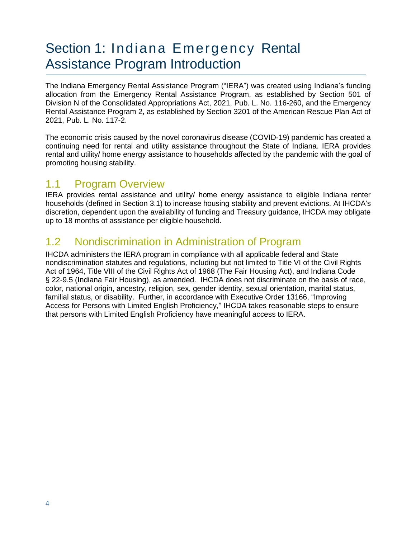# <span id="page-3-0"></span>Section 1: Indiana Emergency Rental Assistance Program Introduction

The Indiana Emergency Rental Assistance Program ("IERA") was created using Indiana's funding allocation from the Emergency Rental Assistance Program, as established by Section 501 of Division N of the Consolidated Appropriations Act, 2021, Pub. L. No. 116-260, and the Emergency Rental Assistance Program 2, as established by Section 3201 of the American Rescue Plan Act of 2021, Pub. L. No. 117-2.

The economic crisis caused by the novel coronavirus disease (COVID-19) pandemic has created a continuing need for rental and utility assistance throughout the State of Indiana. IERA provides rental and utility/ home energy assistance to households affected by the pandemic with the goal of promoting housing stability.

## <span id="page-3-1"></span>1.1 Program Overview

IERA provides rental assistance and utility/ home energy assistance to eligible Indiana renter households (defined in Section 3.1) to increase housing stability and prevent evictions. At IHCDA's discretion, dependent upon the availability of funding and Treasury guidance, IHCDA may obligate up to 18 months of assistance per eligible household.

## 1.2 Nondiscrimination in Administration of Program

IHCDA administers the IERA program in compliance with all applicable federal and State nondiscrimination statutes and regulations, including but not limited to Title VI of the Civil Rights Act of 1964, Title VIII of the Civil Rights Act of 1968 (The Fair Housing Act), and Indiana Code § 22-9.5 (Indiana Fair Housing), as amended. IHCDA does not discriminate on the basis of race, color, national origin, ancestry, religion, sex, gender identity, sexual orientation, marital status, familial status, or disability. Further, in accordance with Executive Order 13166, "Improving Access for Persons with Limited English Proficiency," IHCDA takes reasonable steps to ensure that persons with Limited English Proficiency have meaningful access to IERA.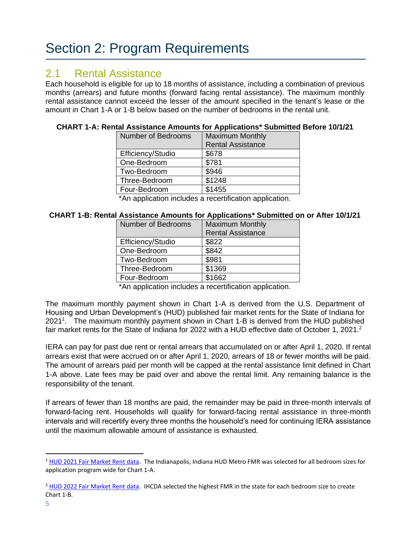# <span id="page-4-0"></span>Section 2: Program Requirements

### <span id="page-4-1"></span>2.1 Rental Assistance

Each household is eligible for up to 18 months of assistance, including a combination of previous months (arrears) and future months (forward facing rental assistance). The maximum monthly rental assistance cannot exceed the lesser of the amount specified in the tenant's lease or the amount in Chart 1-A or 1-B below based on the number of bedrooms in the rental unit.

#### **CHART 1-A: Rental Assistance Amounts for Applications\* Submitted Before 10/1/21**

| <b>Number of Bedrooms</b> | <b>Maximum Monthly</b>   |
|---------------------------|--------------------------|
|                           | <b>Rental Assistance</b> |
| Efficiency/Studio         | \$678                    |
| One-Bedroom               | \$781                    |
| Two-Bedroom               | \$946                    |
| Three-Bedroom             | \$1248                   |
| Four-Bedroom              | \$1455                   |

\*An application includes a recertification application.

#### **CHART 1-B: Rental Assistance Amounts for Applications\* Submitted on or After 10/1/21**

| <b>Number of Bedrooms</b> | <b>Maximum Monthly</b>   |
|---------------------------|--------------------------|
|                           | <b>Rental Assistance</b> |
| Efficiency/Studio         | \$822                    |
| One-Bedroom               | \$842                    |
| Two-Bedroom               | \$981                    |
| Three-Bedroom             | \$1369                   |
| Four-Bedroom              | \$1662                   |

\*An application includes a recertification application.

The maximum monthly payment shown in Chart 1-A is derived from the U.S. Department of Housing and Urban Development's (HUD) published fair market rents for the State of Indiana for 2021<sup>1</sup>. The maximum monthly payment shown in Chart 1-B is derived from the HUD published fair market rents for the State of Indiana for 2022 with a HUD effective date of October 1, 2021.<sup>2</sup>

IERA can pay for past due rent or rental arrears that accumulated on or after April 1, 2020. If rental arrears exist that were accrued on or after April 1, 2020, arrears of 18 or fewer months will be paid. The amount of arrears paid per month will be capped at the rental assistance limit defined in Chart 1-A above. Late fees may be paid over and above the rental limit. Any remaining balance is the responsibility of the tenant.

If arrears of fewer than 18 months are paid, the remainder may be paid in three-month intervals of forward-facing rent. Households will qualify for forward-facing rental assistance in three-month intervals and will recertify every three months the household's need for continuing IERA assistance until the maximum allowable amount of assistance is exhausted.

<sup>&</sup>lt;sup>1</sup> [HUD 2021 Fair Market Rent data.](https://www.huduser.gov/portal/datasets/fmr/fmrs/FY2021_code/select_Geography.odn) The Indianapolis, Indiana HUD Metro FMR was selected for all bedroom sizes for application program wide for Chart 1-A.

<sup>&</sup>lt;sup>2</sup> [HUD 2022 Fair Market Rent data.](https://www.huduser.gov/portal/datasets/fmr/fmrs/FY2022_code/select_Geography.odn) IHCDA selected the highest FMR in the state for each bedroom size to create Chart 1-B.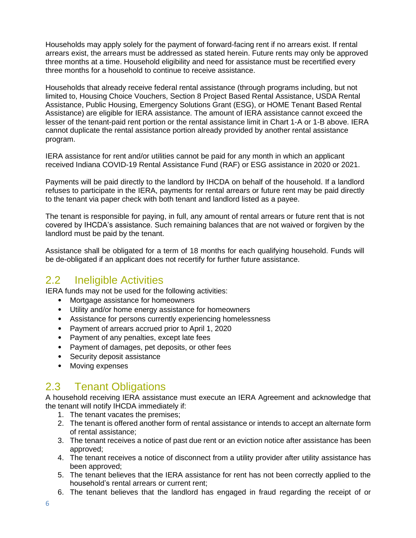Households may apply solely for the payment of forward-facing rent if no arrears exist. If rental arrears exist, the arrears must be addressed as stated herein. Future rents may only be approved three months at a time. Household eligibility and need for assistance must be recertified every three months for a household to continue to receive assistance.

Households that already receive federal rental assistance (through programs including, but not limited to, Housing Choice Vouchers, Section 8 Project Based Rental Assistance, USDA Rental Assistance, Public Housing, Emergency Solutions Grant (ESG), or HOME Tenant Based Rental Assistance) are eligible for IERA assistance. The amount of IERA assistance cannot exceed the lesser of the tenant-paid rent portion or the rental assistance limit in Chart 1-A or 1-B above. IERA cannot duplicate the rental assistance portion already provided by another rental assistance program.

IERA assistance for rent and/or utilities cannot be paid for any month in which an applicant received Indiana COVID-19 Rental Assistance Fund (RAF) or ESG assistance in 2020 or 2021.

Payments will be paid directly to the landlord by IHCDA on behalf of the household. If a landlord refuses to participate in the IERA, payments for rental arrears or future rent may be paid directly to the tenant via paper check with both tenant and landlord listed as a payee.

The tenant is responsible for paying, in full, any amount of rental arrears or future rent that is not covered by IHCDA's assistance. Such remaining balances that are not waived or forgiven by the landlord must be paid by the tenant.

Assistance shall be obligated for a term of 18 months for each qualifying household. Funds will be de-obligated if an applicant does not recertify for further future assistance.

## <span id="page-5-0"></span>2.2 Ineligible Activities

IERA funds may not be used for the following activities:

- Mortgage assistance for homeowners
- Utility and/or home energy assistance for homeowners
- Assistance for persons currently experiencing homelessness
- Payment of arrears accrued prior to April 1, 2020
- Payment of any penalties, except late fees
- Payment of damages, pet deposits, or other fees
- Security deposit assistance
- Moving expenses

## <span id="page-5-1"></span>2.3 Tenant Obligations

A household receiving IERA assistance must execute an IERA Agreement and acknowledge that the tenant will notify IHCDA immediately if:

- 1. The tenant vacates the premises;
- 2. The tenant is offered another form of rental assistance or intends to accept an alternate form of rental assistance;
- 3. The tenant receives a notice of past due rent or an eviction notice after assistance has been approved;
- 4. The tenant receives a notice of disconnect from a utility provider after utility assistance has been approved;
- 5. The tenant believes that the IERA assistance for rent has not been correctly applied to the household's rental arrears or current rent;
- 6. The tenant believes that the landlord has engaged in fraud regarding the receipt of or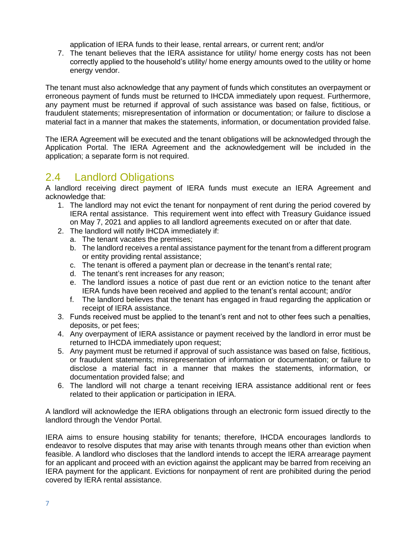application of IERA funds to their lease, rental arrears, or current rent; and/or

7. The tenant believes that the IERA assistance for utility/ home energy costs has not been correctly applied to the household's utility/ home energy amounts owed to the utility or home energy vendor.

The tenant must also acknowledge that any payment of funds which constitutes an overpayment or erroneous payment of funds must be returned to IHCDA immediately upon request. Furthermore, any payment must be returned if approval of such assistance was based on false, fictitious, or fraudulent statements; misrepresentation of information or documentation; or failure to disclose a material fact in a manner that makes the statements, information, or documentation provided false.

The IERA Agreement will be executed and the tenant obligations will be acknowledged through the Application Portal. The IERA Agreement and the acknowledgement will be included in the application; a separate form is not required.

## <span id="page-6-0"></span>2.4 Landlord Obligations

A landlord receiving direct payment of IERA funds must execute an IERA Agreement and acknowledge that:

- 1. The landlord may not evict the tenant for nonpayment of rent during the period covered by IERA rental assistance. This requirement went into effect with Treasury Guidance issued on May 7, 2021 and applies to all landlord agreements executed on or after that date.
- 2. The landlord will notify IHCDA immediately if:
	- a. The tenant vacates the premises;
	- b. The landlord receives a rental assistance payment for the tenant from a different program or entity providing rental assistance;
	- c. The tenant is offered a payment plan or decrease in the tenant's rental rate;
	- d. The tenant's rent increases for any reason;
	- e. The landlord issues a notice of past due rent or an eviction notice to the tenant after IERA funds have been received and applied to the tenant's rental account; and/or
	- f. The landlord believes that the tenant has engaged in fraud regarding the application or receipt of IERA assistance.
- 3. Funds received must be applied to the tenant's rent and not to other fees such a penalties, deposits, or pet fees;
- 4. Any overpayment of IERA assistance or payment received by the landlord in error must be returned to IHCDA immediately upon request;
- 5. Any payment must be returned if approval of such assistance was based on false, fictitious, or fraudulent statements; misrepresentation of information or documentation; or failure to disclose a material fact in a manner that makes the statements, information, or documentation provided false; and
- 6. The landlord will not charge a tenant receiving IERA assistance additional rent or fees related to their application or participation in IERA.

A landlord will acknowledge the IERA obligations through an electronic form issued directly to the landlord through the Vendor Portal.

IERA aims to ensure housing stability for tenants; therefore, IHCDA encourages landlords to endeavor to resolve disputes that may arise with tenants through means other than eviction when feasible. A landlord who discloses that the landlord intends to accept the IERA arrearage payment for an applicant and proceed with an eviction against the applicant may be barred from receiving an IERA payment for the applicant. Evictions for nonpayment of rent are prohibited during the period covered by IERA rental assistance.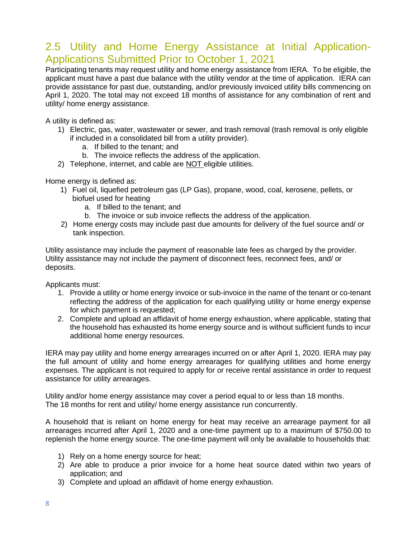### 2.5 Utility and Home Energy Assistance at Initial Application-Applications Submitted Prior to October 1, 2021

Participating tenants may request utility and home energy assistance from IERA. To be eligible, the applicant must have a past due balance with the utility vendor at the time of application. IERA can provide assistance for past due, outstanding, and/or previously invoiced utility bills commencing on April 1, 2020. The total may not exceed 18 months of assistance for any combination of rent and utility/ home energy assistance.

A utility is defined as:

- 1) Electric, gas, water, wastewater or sewer, and trash removal (trash removal is only eligible if included in a consolidated bill from a utility provider).
	- a. If billed to the tenant; and
	- b. The invoice reflects the address of the application.
- 2) Telephone, internet, and cable are NOT eligible utilities.

Home energy is defined as:

- 1) Fuel oil, liquefied petroleum gas (LP Gas), propane, wood, coal, kerosene, pellets, or biofuel used for heating
	- a. If billed to the tenant; and
	- b. The invoice or sub invoice reflects the address of the application.
- 2) Home energy costs may include past due amounts for delivery of the fuel source and/ or tank inspection.

Utility assistance may include the payment of reasonable late fees as charged by the provider. Utility assistance may not include the payment of disconnect fees, reconnect fees, and/ or deposits.

Applicants must:

- 1. Provide a utility or home energy invoice or sub-invoice in the name of the tenant or co-tenant reflecting the address of the application for each qualifying utility or home energy expense for which payment is requested;
- 2. Complete and upload an affidavit of home energy exhaustion, where applicable, stating that the household has exhausted its home energy source and is without sufficient funds to incur additional home energy resources.

IERA may pay utility and home energy arrearages incurred on or after April 1, 2020. IERA may pay the full amount of utility and home energy arrearages for qualifying utilities and home energy expenses. The applicant is not required to apply for or receive rental assistance in order to request assistance for utility arrearages.

Utility and/or home energy assistance may cover a period equal to or less than 18 months. The 18 months for rent and utility/ home energy assistance run concurrently.

A household that is reliant on home energy for heat may receive an arrearage payment for all arrearages incurred after April 1, 2020 and a one-time payment up to a maximum of \$750.00 to replenish the home energy source. The one-time payment will only be available to households that:

- 1) Rely on a home energy source for heat;
- 2) Are able to produce a prior invoice for a home heat source dated within two years of application; and
- 3) Complete and upload an affidavit of home energy exhaustion.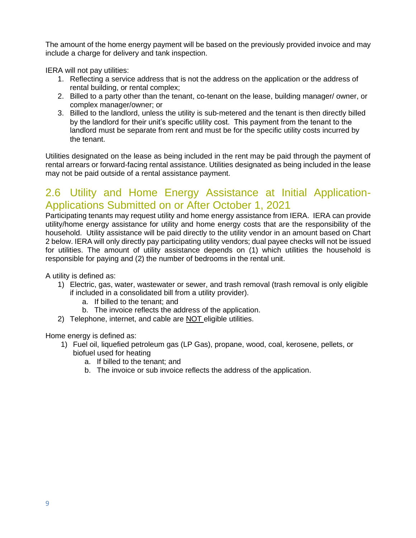The amount of the home energy payment will be based on the previously provided invoice and may include a charge for delivery and tank inspection.

IERA will not pay utilities:

- 1. Reflecting a service address that is not the address on the application or the address of rental building, or rental complex;
- 2. Billed to a party other than the tenant, co-tenant on the lease, building manager/ owner, or complex manager/owner; or
- 3. Billed to the landlord, unless the utility is sub-metered and the tenant is then directly billed by the landlord for their unit's specific utility cost. This payment from the tenant to the landlord must be separate from rent and must be for the specific utility costs incurred by the tenant.

Utilities designated on the lease as being included in the rent may be paid through the payment of rental arrears or forward-facing rental assistance. Utilities designated as being included in the lease may not be paid outside of a rental assistance payment.

### 2.6 Utility and Home Energy Assistance at Initial Application-Applications Submitted on or After October 1, 2021

Participating tenants may request utility and home energy assistance from IERA. IERA can provide utility/home energy assistance for utility and home energy costs that are the responsibility of the household. Utility assistance will be paid directly to the utility vendor in an amount based on Chart 2 below. IERA will only directly pay participating utility vendors; dual payee checks will not be issued for utilities. The amount of utility assistance depends on (1) which utilities the household is responsible for paying and (2) the number of bedrooms in the rental unit.

A utility is defined as:

- 1) Electric, gas, water, wastewater or sewer, and trash removal (trash removal is only eligible if included in a consolidated bill from a utility provider).
	- a. If billed to the tenant; and
	- b. The invoice reflects the address of the application.
- 2) Telephone, internet, and cable are NOT eligible utilities.

Home energy is defined as:

- 1) Fuel oil, liquefied petroleum gas (LP Gas), propane, wood, coal, kerosene, pellets, or biofuel used for heating
	- a. If billed to the tenant; and
	- b. The invoice or sub invoice reflects the address of the application.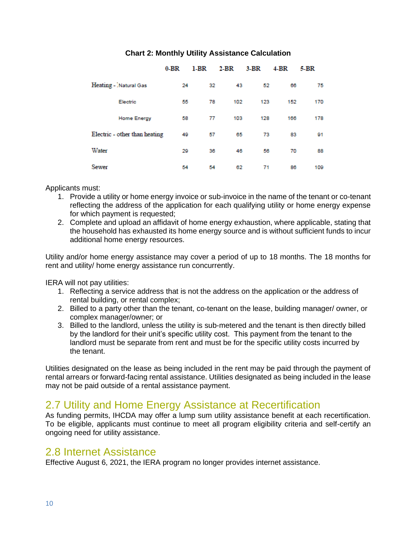|                       |                               | $0-BR$ | 1-BR | $2-BR$ | $3-BR$ | $4-BR$ | $5-BR$ |
|-----------------------|-------------------------------|--------|------|--------|--------|--------|--------|
| Heating - Natural Gas |                               | 24     | 32   | 43     | 52     | 66     | 75     |
|                       | Electric                      | 55     | 78   | 102    | 123    | 152    | 170    |
|                       | <b>Home Energy</b>            | 58     | 77   | 103    | 128    | 166    | 178    |
|                       | Electric - other than heating | 49     | 57   | 65     | 73     | 83     | 91     |
| Water                 |                               | 29     | 36   | 46     | 56     | 70     | 88     |
| Sewer                 |                               | 54     | 54   | 62     | 71     | 86     | 109    |

#### **Chart 2: Monthly Utility Assistance Calculation**

Applicants must:

- 1. Provide a utility or home energy invoice or sub-invoice in the name of the tenant or co-tenant reflecting the address of the application for each qualifying utility or home energy expense for which payment is requested;
- 2. Complete and upload an affidavit of home energy exhaustion, where applicable, stating that the household has exhausted its home energy source and is without sufficient funds to incur additional home energy resources.

Utility and/or home energy assistance may cover a period of up to 18 months. The 18 months for rent and utility/ home energy assistance run concurrently.

IERA will not pay utilities:

- 1. Reflecting a service address that is not the address on the application or the address of rental building, or rental complex;
- 2. Billed to a party other than the tenant, co-tenant on the lease, building manager/ owner, or complex manager/owner; or
- 3. Billed to the landlord, unless the utility is sub-metered and the tenant is then directly billed by the landlord for their unit's specific utility cost. This payment from the tenant to the landlord must be separate from rent and must be for the specific utility costs incurred by the tenant.

Utilities designated on the lease as being included in the rent may be paid through the payment of rental arrears or forward-facing rental assistance. Utilities designated as being included in the lease may not be paid outside of a rental assistance payment.

### 2.7 Utility and Home Energy Assistance at Recertification

As funding permits, IHCDA may offer a lump sum utility assistance benefit at each recertification. To be eligible, applicants must continue to meet all program eligibility criteria and self-certify an ongoing need for utility assistance.

#### 2.8 Internet Assistance

<span id="page-9-0"></span>Effective August 6, 2021, the IERA program no longer provides internet assistance.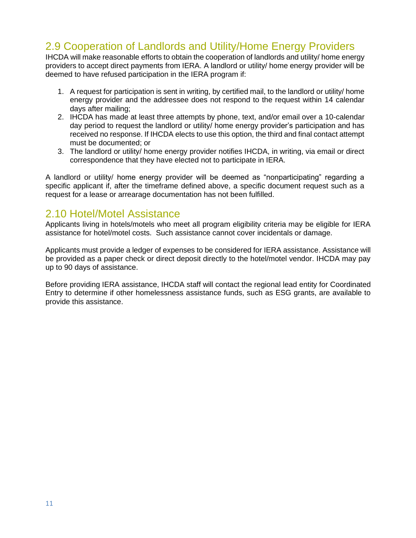## 2.9 Cooperation of Landlords and Utility/Home Energy Providers

IHCDA will make reasonable efforts to obtain the cooperation of landlords and utility/ home energy providers to accept direct payments from IERA. A landlord or utility/ home energy provider will be deemed to have refused participation in the IERA program if:

- 1. A request for participation is sent in writing, by certified mail, to the landlord or utility/ home energy provider and the addressee does not respond to the request within 14 calendar days after mailing;
- 2. IHCDA has made at least three attempts by phone, text, and/or email over a 10-calendar day period to request the landlord or utility/ home energy provider's participation and has received no response. If IHCDA elects to use this option, the third and final contact attempt must be documented; or
- 3. The landlord or utility/ home energy provider notifies IHCDA, in writing, via email or direct correspondence that they have elected not to participate in IERA.

A landlord or utility/ home energy provider will be deemed as "nonparticipating" regarding a specific applicant if, after the timeframe defined above, a specific document request such as a request for a lease or arrearage documentation has not been fulfilled.

### 2.10 Hotel/Motel Assistance

Applicants living in hotels/motels who meet all program eligibility criteria may be eligible for IERA assistance for hotel/motel costs. Such assistance cannot cover incidentals or damage.

Applicants must provide a ledger of expenses to be considered for IERA assistance. Assistance will be provided as a paper check or direct deposit directly to the hotel/motel vendor. IHCDA may pay up to 90 days of assistance.

Before providing IERA assistance, IHCDA staff will contact the regional lead entity for Coordinated Entry to determine if other homelessness assistance funds, such as ESG grants, are available to provide this assistance.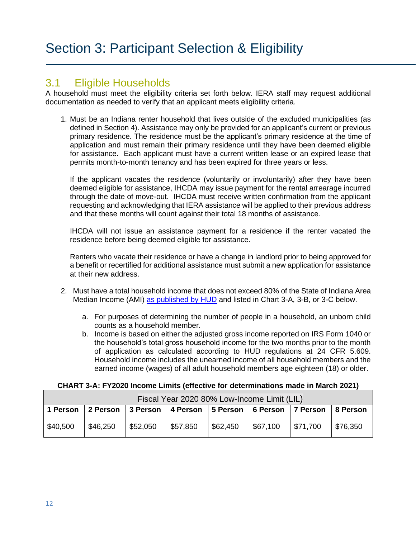### <span id="page-11-1"></span><span id="page-11-0"></span>3.1 Eligible Households

A household must meet the eligibility criteria set forth below. IERA staff may request additional documentation as needed to verify that an applicant meets eligibility criteria.

1. Must be an Indiana renter household that lives outside of the excluded municipalities (as defined in Section 4). Assistance may only be provided for an applicant's current or previous primary residence. The residence must be the applicant's primary residence at the time of application and must remain their primary residence until they have been deemed eligible for assistance. Each applicant must have a current written lease or an expired lease that permits month-to-month tenancy and has been expired for three years or less.

If the applicant vacates the residence (voluntarily or involuntarily) after they have been deemed eligible for assistance, IHCDA may issue payment for the rental arrearage incurred through the date of move-out. IHCDA must receive written confirmation from the applicant requesting and acknowledging that IERA assistance will be applied to their previous address and that these months will count against their total 18 months of assistance.

IHCDA will not issue an assistance payment for a residence if the renter vacated the residence before being deemed eligible for assistance.

Renters who vacate their residence or have a change in landlord prior to being approved for a benefit or recertified for additional assistance must submit a new application for assistance at their new address.

- 2. Must have a total household income that does not exceed 80% of the State of Indiana Area Median Income (AMI) [as published by HUD](https://www.huduser.gov/portal/datasets/il.html) and listed in Chart 3-A, 3-B, or 3-C below.
	- a. For purposes of determining the number of people in a household, an unborn child counts as a household member.
	- b. Income is based on either the adjusted gross income reported on IRS Form 1040 or the household's total gross household income for the two months prior to the month of application as calculated according to HUD regulations at 24 CFR 5.609. Household income includes the unearned income of all household members and the earned income (wages) of all adult household members age eighteen (18) or older.

|  | CHART 3-A: FY2020 Income Limits (effective for determinations made in March 2021) |
|--|-----------------------------------------------------------------------------------|
|--|-----------------------------------------------------------------------------------|

| Fiscal Year 2020 80% Low-Income Limit (LIL) |                                |          |                                           |          |          |          |           |  |  |
|---------------------------------------------|--------------------------------|----------|-------------------------------------------|----------|----------|----------|-----------|--|--|
|                                             | 1 Person   2 Person   3 Person |          | 4 Person   5 Person   6 Person   7 Person |          |          |          | ∣8 Person |  |  |
| \$40,500                                    | \$46,250                       | \$52,050 | \$57,850                                  | \$62,450 | \$67,100 | \$71,700 | \$76,350  |  |  |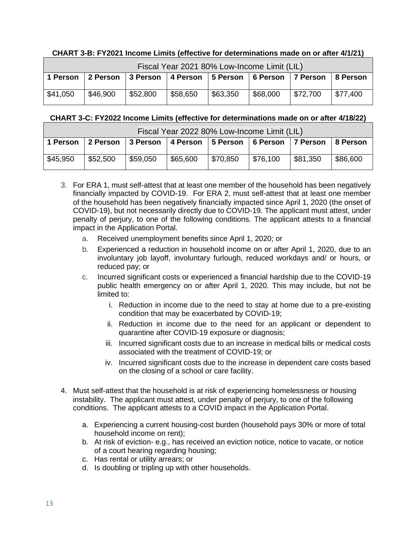#### **CHART 3-B: FY2021 Income Limits (effective for determinations made on or after 4/1/21)**

| Fiscal Year 2021 80% Low-Income Limit (LIL) |          |          |                                                                 |          |          |          |                        |  |  |  |
|---------------------------------------------|----------|----------|-----------------------------------------------------------------|----------|----------|----------|------------------------|--|--|--|
| 1 Person                                    |          |          | 2 Person   3 Person   4 Person   5 Person   6 Person   7 Person |          |          |          | ∣8 Person              |  |  |  |
| $\frac{1}{2}$ \$41,050                      | \$46,900 | \$52,800 | \$58,650                                                        | \$63,350 | \$68,000 | \$72,700 | $\frac{1}{2}$ \$77,400 |  |  |  |

#### **CHART 3-C: FY2022 Income Limits (effective for determinations made on or after 4/18/22)**

| Fiscal Year 2022 80% Low-Income Limit (LIL) |          |                 |          |                                           |          |          |          |  |  |  |
|---------------------------------------------|----------|-----------------|----------|-------------------------------------------|----------|----------|----------|--|--|--|
| 1 Person                                    | 2 Person | <b>3 Person</b> |          | 4 Person   5 Person   6 Person   7 Person |          |          | 8 Person |  |  |  |
| \$45,950                                    | \$52,500 | \$59,050        | \$65,600 | \$70,850                                  | \$76,100 | \$81,350 | \$86,600 |  |  |  |

- 3. For ERA 1, must self-attest that at least one member of the household has been negatively financially impacted by COVID-19. For ERA 2, must self-attest that at least one member of the household has been negatively financially impacted since April 1, 2020 (the onset of COVID-19), but not necessarily directly due to COVID-19. The applicant must attest, under penalty of perjury, to one of the following conditions. The applicant attests to a financial impact in the Application Portal.
	- a. Received unemployment benefits since April 1, 2020; or
	- b. Experienced a reduction in household income on or after April 1, 2020, due to an involuntary job layoff, involuntary furlough, reduced workdays and/ or hours, or reduced pay; or
	- c. Incurred significant costs or experienced a financial hardship due to the COVID-19 public health emergency on or after April 1, 2020. This may include, but not be limited to:
		- i. Reduction in income due to the need to stay at home due to a pre-existing condition that may be exacerbated by COVID-19;
		- ii. Reduction in income due to the need for an applicant or dependent to quarantine after COVID-19 exposure or diagnosis;
		- iii. Incurred significant costs due to an increase in medical bills or medical costs associated with the treatment of COVID-19; or
		- iv. Incurred significant costs due to the increase in dependent care costs based on the closing of a school or care facility.
- 4. Must self-attest that the household is at risk of experiencing homelessness or housing instability. The applicant must attest, under penalty of perjury, to one of the following conditions. The applicant attests to a COVID impact in the Application Portal.
	- a. Experiencing a current housing-cost burden (household pays 30% or more of total household income on rent);
	- b. At risk of eviction- e.g., has received an eviction notice, notice to vacate, or notice of a court hearing regarding housing;
	- c. Has rental or utility arrears; or
	- d. Is doubling or tripling up with other households.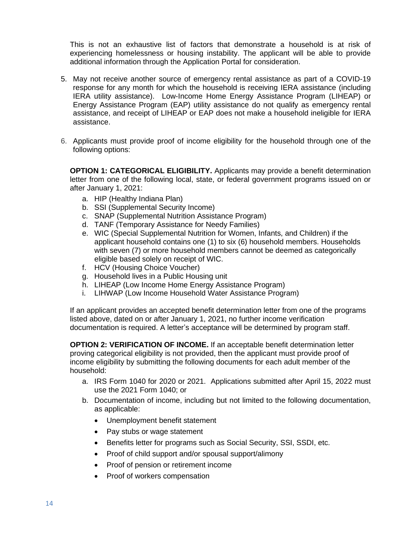This is not an exhaustive list of factors that demonstrate a household is at risk of experiencing homelessness or housing instability. The applicant will be able to provide additional information through the Application Portal for consideration.

- 5. May not receive another source of emergency rental assistance as part of a COVID-19 response for any month for which the household is receiving IERA assistance (including IERA utility assistance). Low-Income Home Energy Assistance Program (LIHEAP) or Energy Assistance Program (EAP) utility assistance do not qualify as emergency rental assistance, and receipt of LIHEAP or EAP does not make a household ineligible for IERA assistance.
- 6. Applicants must provide proof of income eligibility for the household through one of the following options:

**OPTION 1: CATEGORICAL ELIGIBILITY.** Applicants may provide a benefit determination letter from one of the following local, state, or federal government programs issued on or after January 1, 2021:

- a. HIP (Healthy Indiana Plan)
- b. SSI (Supplemental Security Income)
- c. SNAP (Supplemental Nutrition Assistance Program)
- d. TANF (Temporary Assistance for Needy Families)
- e. WIC (Special Supplemental Nutrition for Women, Infants, and Children) if the applicant household contains one (1) to six (6) household members. Households with seven (7) or more household members cannot be deemed as categorically eligible based solely on receipt of WIC.
- f. HCV (Housing Choice Voucher)
- g. Household lives in a Public Housing unit
- h. LIHEAP (Low Income Home Energy Assistance Program)
- i. LIHWAP (Low Income Household Water Assistance Program)

If an applicant provides an accepted benefit determination letter from one of the programs listed above, dated on or after January 1, 2021, no further income verification documentation is required. A letter's acceptance will be determined by program staff.

**OPTION 2: VERIFICATION OF INCOME.** If an acceptable benefit determination letter proving categorical eligibility is not provided, then the applicant must provide proof of income eligibility by submitting the following documents for each adult member of the household:

- a. IRS Form 1040 for 2020 or 2021. Applications submitted after April 15, 2022 must use the 2021 Form 1040; or
- b. Documentation of income, including but not limited to the following documentation, as applicable:
	- Unemployment benefit statement
	- Pay stubs or wage statement
	- Benefits letter for programs such as Social Security, SSI, SSDI, etc.
	- Proof of child support and/or spousal support/alimony
	- Proof of pension or retirement income
	- Proof of workers compensation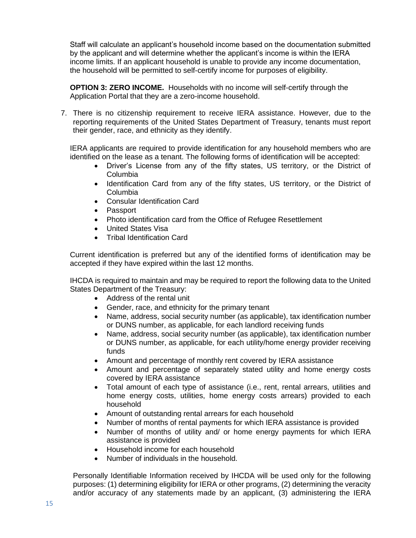Staff will calculate an applicant's household income based on the documentation submitted by the applicant and will determine whether the applicant's income is within the IERA income limits. If an applicant household is unable to provide any income documentation, the household will be permitted to self-certify income for purposes of eligibility.

**OPTION 3: ZERO INCOME.** Households with no income will self-certify through the Application Portal that they are a zero-income household.

7. There is no citizenship requirement to receive IERA assistance. However, due to the reporting requirements of the United States Department of Treasury, tenants must report their gender, race, and ethnicity as they identify.

IERA applicants are required to provide identification for any household members who are identified on the lease as a tenant. The following forms of identification will be accepted:

- Driver's License from any of the fifty states, US territory, or the District of Columbia
- Identification Card from any of the fifty states, US territory, or the District of Columbia
- Consular Identification Card
- Passport
- Photo identification card from the Office of Refugee Resettlement
- United States Visa
- Tribal Identification Card

Current identification is preferred but any of the identified forms of identification may be accepted if they have expired within the last 12 months.

IHCDA is required to maintain and may be required to report the following data to the United States Department of the Treasury:

- Address of the rental unit
- Gender, race, and ethnicity for the primary tenant
- Name, address, social security number (as applicable), tax identification number or DUNS number, as applicable, for each landlord receiving funds
- Name, address, social security number (as applicable), tax identification number or DUNS number, as applicable, for each utility/home energy provider receiving funds
- Amount and percentage of monthly rent covered by IERA assistance
- Amount and percentage of separately stated utility and home energy costs covered by IERA assistance
- Total amount of each type of assistance (i.e., rent, rental arrears, utilities and home energy costs, utilities, home energy costs arrears) provided to each household
- Amount of outstanding rental arrears for each household
- Number of months of rental payments for which IERA assistance is provided
- Number of months of utility and/ or home energy payments for which IERA assistance is provided
- Household income for each household
- Number of individuals in the household.

Personally Identifiable Information received by IHCDA will be used only for the following purposes: (1) determining eligibility for IERA or other programs, (2) determining the veracity and/or accuracy of any statements made by an applicant, (3) administering the IERA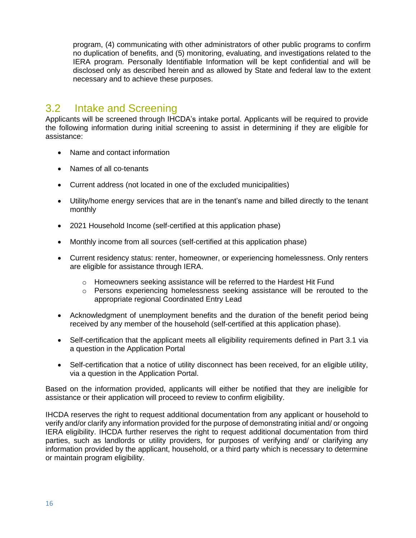program, (4) communicating with other administrators of other public programs to confirm no duplication of benefits, and (5) monitoring, evaluating, and investigations related to the IERA program. Personally Identifiable Information will be kept confidential and will be disclosed only as described herein and as allowed by State and federal law to the extent necessary and to achieve these purposes.

## <span id="page-15-0"></span>3.2 Intake and Screening

Applicants will be screened through IHCDA's intake portal. Applicants will be required to provide the following information during initial screening to assist in determining if they are eligible for assistance:

- Name and contact information
- Names of all co-tenants
- Current address (not located in one of the excluded municipalities)
- Utility/home energy services that are in the tenant's name and billed directly to the tenant monthly
- 2021 Household Income (self-certified at this application phase)
- Monthly income from all sources (self-certified at this application phase)
- Current residency status: renter, homeowner, or experiencing homelessness. Only renters are eligible for assistance through IERA.
	- $\circ$  Homeowners seeking assistance will be referred to the Hardest Hit Fund
	- o Persons experiencing homelessness seeking assistance will be rerouted to the appropriate regional Coordinated Entry Lead
- Acknowledgment of unemployment benefits and the duration of the benefit period being received by any member of the household (self-certified at this application phase).
- Self-certification that the applicant meets all eligibility requirements defined in Part 3.1 via a question in the Application Portal
- Self-certification that a notice of utility disconnect has been received, for an eligible utility, via a question in the Application Portal.

Based on the information provided, applicants will either be notified that they are ineligible for assistance or their application will proceed to review to confirm eligibility.

IHCDA reserves the right to request additional documentation from any applicant or household to verify and/or clarify any information provided for the purpose of demonstrating initial and/ or ongoing IERA eligibility. IHCDA further reserves the right to request additional documentation from third parties, such as landlords or utility providers, for purposes of verifying and/ or clarifying any information provided by the applicant, household, or a third party which is necessary to determine or maintain program eligibility.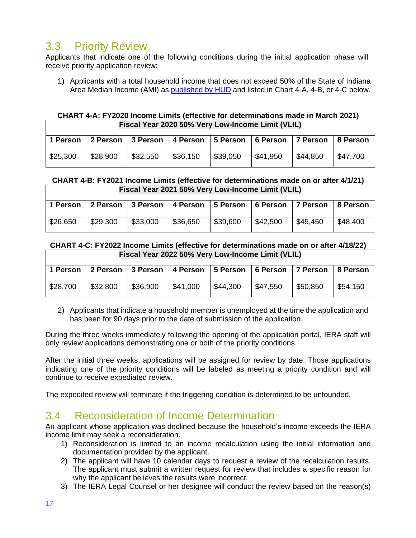## <span id="page-16-0"></span>3.3 Priority Review

Applicants that indicate one of the following conditions during the initial application phase will receive priority application review:

1) Applicants with a total household income that does not exceed 50% of the State of Indiana Area Median Income (AMI) as [published by HUD](https://www.huduser.gov/portal/datasets/il.html) and listed in Chart 4-A, 4-B, or 4-C below.

#### **CHART 4-A: FY2020 Income Limits (effective for determinations made in March 2021) Fiscal Year 2020 50% Very Low-Income Limit (VLIL)**

|          |          | 1 Person 2 Person 3 Person 4 Person 5 Person 6 Person |          |          |          | 7 Person   8 Person |          |
|----------|----------|-------------------------------------------------------|----------|----------|----------|---------------------|----------|
| \$25,300 | \$28,900 | \$32,550                                              | \$36,150 | \$39,050 | \$41,950 | \$44.850            | \$47,700 |

#### **CHART 4-B: FY2021 Income Limits (effective for determinations made on or after 4/1/21) Fiscal Year 2021 50% Very Low-Income Limit (VLIL)**

| 1 Person |          | 2 Person 3 Person 4 Person 5 Person 6 Person |          |          |          | 7 Person | ∣8 Person |
|----------|----------|----------------------------------------------|----------|----------|----------|----------|-----------|
| \$26,650 | \$29,300 | \$33,000                                     | \$36,650 | \$39,600 | \$42,500 | \$45,450 | \$48,400  |

#### **CHART 4-C: FY2022 Income Limits (effective for determinations made on or after 4/18/22) Fiscal Year 2022 50% Very Low-Income Limit (VLIL)**

|          |          | 1 Person   2 Person   3 Person   4 Person   5 Person   6 Person |          |                        |                        | 7 Person 3 Person |          |
|----------|----------|-----------------------------------------------------------------|----------|------------------------|------------------------|-------------------|----------|
| \$28,700 | \$32,800 | \$36,900                                                        | \$41,000 | $\frac{1}{2}$ \$44,300 | $\frac{1}{2}$ \$47,550 | \$50,850          | \$54,150 |

2) Applicants that indicate a household member is unemployed at the time the application and has been for 90 days prior to the date of submission of the application.

During the three weeks immediately following the opening of the application portal, IERA staff will only review applications demonstrating one or both of the priority conditions.

After the initial three weeks, applications will be assigned for review by date. Those applications indicating one of the priority conditions will be labeled as meeting a priority condition and will continue to receive expediated review.

The expedited review will terminate if the triggering condition is determined to be unfounded.

## <span id="page-16-1"></span>3.4 Reconsideration of Income Determination

An applicant whose application was declined because the household's income exceeds the IERA income limit may seek a reconsideration.

- 1) Reconsideration is limited to an income recalculation using the initial information and documentation provided by the applicant.
- 2) The applicant will have 10 calendar days to request a review of the recalculation results. The applicant must submit a written request for review that includes a specific reason for why the applicant believes the results were incorrect.
- 3) The IERA Legal Counsel or her designee will conduct the review based on the reason(s)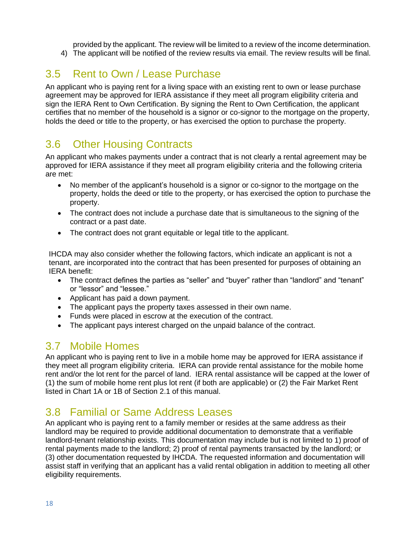provided by the applicant. The review will be limited to a review of the income determination. 4) The applicant will be notified of the review results via email. The review results will be final.

# <span id="page-17-0"></span>3.5 Rent to Own / Lease Purchase

An applicant who is paying rent for a living space with an existing rent to own or lease purchase agreement may be approved for IERA assistance if they meet all program eligibility criteria and sign the IERA Rent to Own Certification. By signing the Rent to Own Certification, the applicant certifies that no member of the household is a signor or co-signor to the mortgage on the property, holds the deed or title to the property, or has exercised the option to purchase the property.

# <span id="page-17-1"></span>3.6 Other Housing Contracts

An applicant who makes payments under a contract that is not clearly a rental agreement may be approved for IERA assistance if they meet all program eligibility criteria and the following criteria are met:

- No member of the applicant's household is a signor or co-signor to the mortgage on the property, holds the deed or title to the property, or has exercised the option to purchase the property.
- The contract does not include a purchase date that is simultaneous to the signing of the contract or a past date.
- The contract does not grant equitable or legal title to the applicant.

IHCDA may also consider whether the following factors, which indicate an applicant is not a tenant, are incorporated into the contract that has been presented for purposes of obtaining an IERA benefit:

- The contract defines the parties as "seller" and "buyer" rather than "landlord" and "tenant" or "lessor" and "lessee."
- Applicant has paid a down payment.
- The applicant pays the property taxes assessed in their own name.
- Funds were placed in escrow at the execution of the contract.
- The applicant pays interest charged on the unpaid balance of the contract.

## 3.7 Mobile Homes

An applicant who is paying rent to live in a mobile home may be approved for IERA assistance if they meet all program eligibility criteria. IERA can provide rental assistance for the mobile home rent and/or the lot rent for the parcel of land. IERA rental assistance will be capped at the lower of (1) the sum of mobile home rent plus lot rent (if both are applicable) or (2) the Fair Market Rent listed in Chart 1A or 1B of Section 2.1 of this manual.

# <span id="page-17-2"></span>3.8 Familial or Same Address Leases

An applicant who is paying rent to a family member or resides at the same address as their landlord may be required to provide additional documentation to demonstrate that a verifiable landlord-tenant relationship exists. This documentation may include but is not limited to 1) proof of rental payments made to the landlord; 2) proof of rental payments transacted by the landlord; or (3) other documentation requested by IHCDA. The requested information and documentation will assist staff in verifying that an applicant has a valid rental obligation in addition to meeting all other eligibility requirements.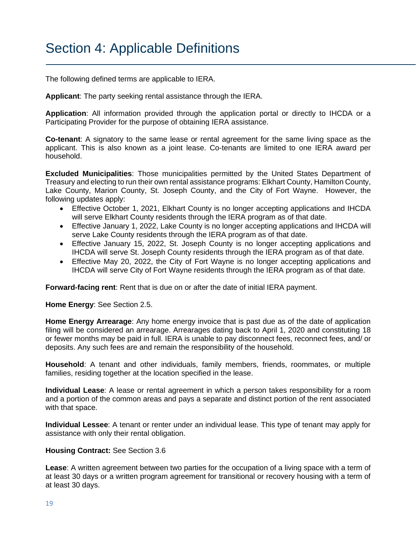# Section 4: Applicable Definitions

The following defined terms are applicable to IERA.

**Applicant**: The party seeking rental assistance through the IERA.

**Application**: All information provided through the application portal or directly to IHCDA or a Participating Provider for the purpose of obtaining IERA assistance.

**Co-tenant**: A signatory to the same lease or rental agreement for the same living space as the applicant. This is also known as a joint lease. Co-tenants are limited to one IERA award per household.

**Excluded Municipalities**: Those municipalities permitted by the United States Department of Treasury and electing to run their own rental assistance programs: Elkhart County, Hamilton County, Lake County, Marion County, St. Joseph County, and the City of Fort Wayne. However, the following updates apply:

- Effective October 1, 2021, Elkhart County is no longer accepting applications and IHCDA will serve Elkhart County residents through the IERA program as of that date.
- Effective January 1, 2022, Lake County is no longer accepting applications and IHCDA will serve Lake County residents through the IERA program as of that date.
- Effective January 15, 2022, St. Joseph County is no longer accepting applications and IHCDA will serve St. Joseph County residents through the IERA program as of that date.
- Effective May 20, 2022, the City of Fort Wayne is no longer accepting applications and IHCDA will serve City of Fort Wayne residents through the IERA program as of that date.

**Forward-facing rent**: Rent that is due on or after the date of initial IERA payment.

**Home Energy**: See Section 2.5.

**Home Energy Arrearage**: Any home energy invoice that is past due as of the date of application filing will be considered an arrearage. Arrearages dating back to April 1, 2020 and constituting 18 or fewer months may be paid in full. IERA is unable to pay disconnect fees, reconnect fees, and/ or deposits. Any such fees are and remain the responsibility of the household.

**Household**: A tenant and other individuals, family members, friends, roommates, or multiple families, residing together at the location specified in the lease.

**Individual Lease**: A lease or rental agreement in which a person takes responsibility for a room and a portion of the common areas and pays a separate and distinct portion of the rent associated with that space.

**Individual Lessee**: A tenant or renter under an individual lease. This type of tenant may apply for assistance with only their rental obligation.

#### **Housing Contract:** See Section 3.6

**Lease**: A written agreement between two parties for the occupation of a living space with a term of at least 30 days or a written program agreement for transitional or recovery housing with a term of at least 30 days.